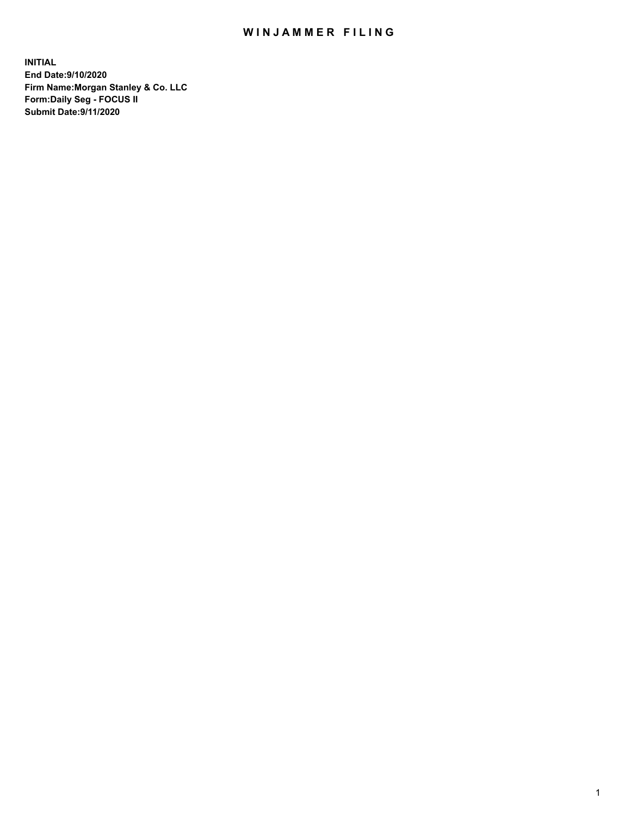## WIN JAMMER FILING

**INITIAL End Date:9/10/2020 Firm Name:Morgan Stanley & Co. LLC Form:Daily Seg - FOCUS II Submit Date:9/11/2020**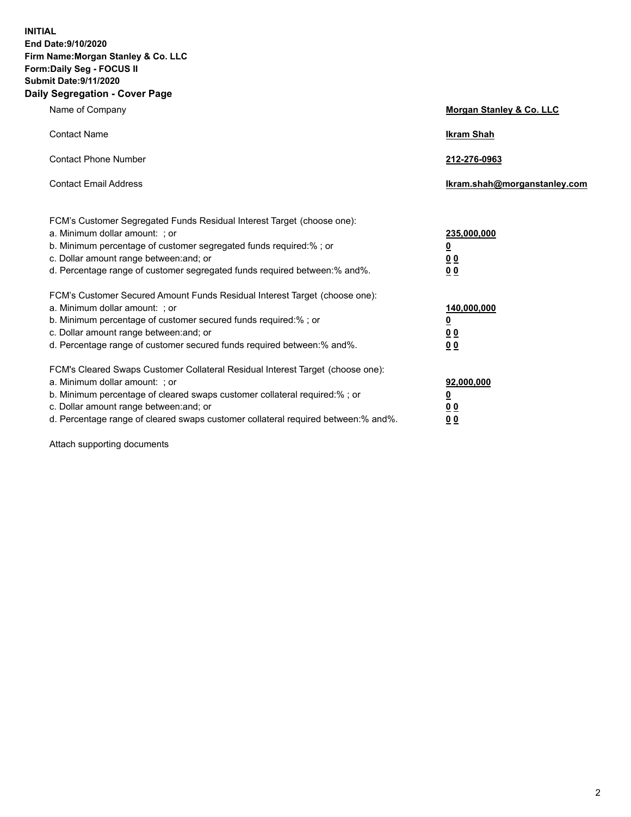**INITIAL End Date:9/10/2020 Firm Name:Morgan Stanley & Co. LLC Form:Daily Seg - FOCUS II Submit Date:9/11/2020 Daily Segregation - Cover Page**

| Name of Company                                                                                                                                                                                                                                                                                                               | Morgan Stanley & Co. LLC                               |
|-------------------------------------------------------------------------------------------------------------------------------------------------------------------------------------------------------------------------------------------------------------------------------------------------------------------------------|--------------------------------------------------------|
| <b>Contact Name</b>                                                                                                                                                                                                                                                                                                           | <b>Ikram Shah</b>                                      |
| <b>Contact Phone Number</b>                                                                                                                                                                                                                                                                                                   | 212-276-0963                                           |
| <b>Contact Email Address</b>                                                                                                                                                                                                                                                                                                  | Ikram.shah@morganstanley.com                           |
| FCM's Customer Segregated Funds Residual Interest Target (choose one):<br>a. Minimum dollar amount: ; or<br>b. Minimum percentage of customer segregated funds required:% ; or<br>c. Dollar amount range between: and; or<br>d. Percentage range of customer segregated funds required between:% and%.                        | 235,000,000<br><u>0</u><br><u>00</u><br>0 <sup>0</sup> |
| FCM's Customer Secured Amount Funds Residual Interest Target (choose one):<br>a. Minimum dollar amount: ; or<br>b. Minimum percentage of customer secured funds required:%; or<br>c. Dollar amount range between: and; or<br>d. Percentage range of customer secured funds required between:% and%.                           | 140,000,000<br><u>0</u><br><u>00</u><br>0 <sub>0</sub> |
| FCM's Cleared Swaps Customer Collateral Residual Interest Target (choose one):<br>a. Minimum dollar amount: ; or<br>b. Minimum percentage of cleared swaps customer collateral required:%; or<br>c. Dollar amount range between: and; or<br>d. Percentage range of cleared swaps customer collateral required between:% and%. | 92,000,000<br><u>0</u><br>0 Q<br>00                    |

Attach supporting documents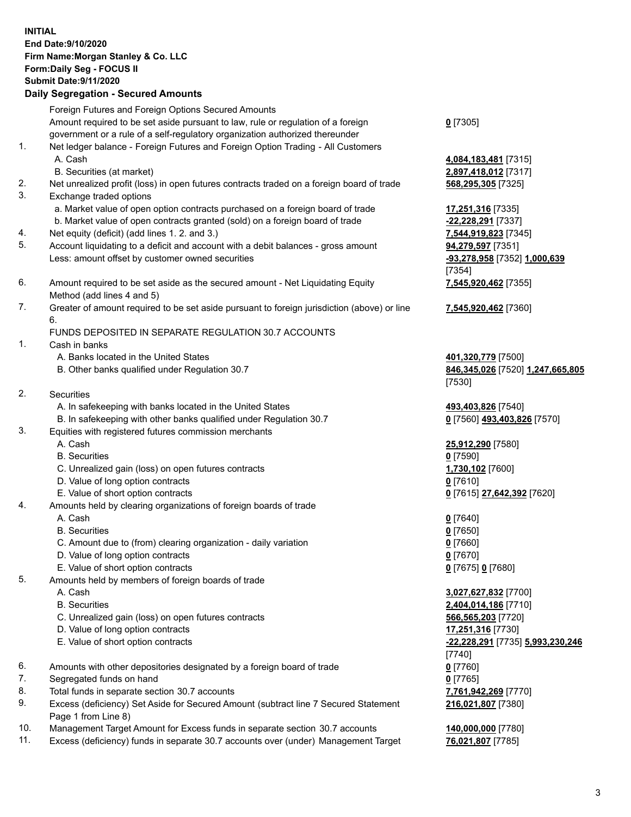## **INITIAL End Date:9/10/2020 Firm Name:Morgan Stanley & Co. LLC Form:Daily Seg - FOCUS II Submit Date:9/11/2020 Daily Segregation - Secured Amounts** Foreign Futures and Foreign Options Secured Amounts Amount required to be set aside pursuant to law, rule or regulation of a foreign government or a rule of a self-regulatory organization authorized thereunder **0** [7305] 1. Net ledger balance - Foreign Futures and Foreign Option Trading - All Customers A. Cash **4,084,183,481** [7315] B. Securities (at market) **2,897,418,012** [7317] 2. Net unrealized profit (loss) in open futures contracts traded on a foreign board of trade **568,295,305** [7325] 3. Exchange traded options a. Market value of open option contracts purchased on a foreign board of trade **17,251,316** [7335] b. Market value of open contracts granted (sold) on a foreign board of trade **-22,228,291** [7337] 4. Net equity (deficit) (add lines 1. 2. and 3.) **7,544,919,823** [7345] 5. Account liquidating to a deficit and account with a debit balances - gross amount **94,279,597** [7351] Less: amount offset by customer owned securities **-93,278,958** [7352] **1,000,639** [7354] 6. Amount required to be set aside as the secured amount - Net Liquidating Equity Method (add lines 4 and 5) **7,545,920,462** [7355] 7. Greater of amount required to be set aside pursuant to foreign jurisdiction (above) or line 6. **7,545,920,462** [7360] FUNDS DEPOSITED IN SEPARATE REGULATION 30.7 ACCOUNTS 1. Cash in banks A. Banks located in the United States **401,320,779** [7500] B. Other banks qualified under Regulation 30.7 **846,345,026** [7520] **1,247,665,805** [7530] 2. Securities A. In safekeeping with banks located in the United States **493,403,826** [7540] B. In safekeeping with other banks qualified under Regulation 30.7 **0** [7560] **493,403,826** [7570] 3. Equities with registered futures commission merchants A. Cash **25,912,290** [7580] B. Securities **0** [7590] C. Unrealized gain (loss) on open futures contracts **1,730,102** [7600] D. Value of long option contracts **0** [7610] E. Value of short option contracts **0** [7615] **27,642,392** [7620] 4. Amounts held by clearing organizations of foreign boards of trade A. Cash **0** [7640] B. Securities **0** [7650] C. Amount due to (from) clearing organization - daily variation **0** [7660] D. Value of long option contracts **0** [7670] E. Value of short option contracts **0** [7675] **0** [7680] 5. Amounts held by members of foreign boards of trade A. Cash **3,027,627,832** [7700] B. Securities **2,404,014,186** [7710] C. Unrealized gain (loss) on open futures contracts **566,565,203** [7720] D. Value of long option contracts **17,251,316** [7730] E. Value of short option contracts **-22,228,291** [7735] **5,993,230,246** [7740] 6. Amounts with other depositories designated by a foreign board of trade **0** [7760] 7. Segregated funds on hand **0** [7765] 8. Total funds in separate section 30.7 accounts **7,761,942,269** [7770] 9. Excess (deficiency) Set Aside for Secured Amount (subtract line 7 Secured Statement Page 1 from Line 8) **216,021,807** [7380]

- 10. Management Target Amount for Excess funds in separate section 30.7 accounts **140,000,000** [7780]
- 11. Excess (deficiency) funds in separate 30.7 accounts over (under) Management Target **76,021,807** [7785]

3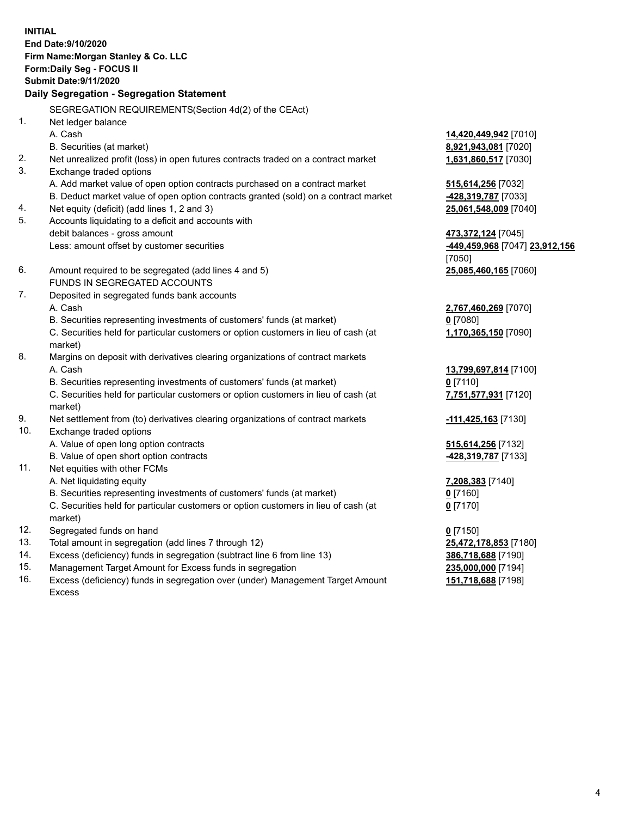**INITIAL End Date:9/10/2020 Firm Name:Morgan Stanley & Co. LLC Form:Daily Seg - FOCUS II Submit Date:9/11/2020 Daily Segregation - Segregation Statement** SEGREGATION REQUIREMENTS(Section 4d(2) of the CEAct) 1. Net ledger balance A. Cash **14,420,449,942** [7010] B. Securities (at market) **8,921,943,081** [7020] 2. Net unrealized profit (loss) in open futures contracts traded on a contract market **1,631,860,517** [7030] 3. Exchange traded options A. Add market value of open option contracts purchased on a contract market **515,614,256** [7032] B. Deduct market value of open option contracts granted (sold) on a contract market **-428,319,787** [7033] 4. Net equity (deficit) (add lines 1, 2 and 3) **25,061,548,009** [7040] 5. Accounts liquidating to a deficit and accounts with debit balances - gross amount **473,372,124** [7045] Less: amount offset by customer securities **-449,459,968** [7047] **23,912,156** [7050] 6. Amount required to be segregated (add lines 4 and 5) **25,085,460,165** [7060] FUNDS IN SEGREGATED ACCOUNTS 7. Deposited in segregated funds bank accounts A. Cash **2,767,460,269** [7070] B. Securities representing investments of customers' funds (at market) **0** [7080] C. Securities held for particular customers or option customers in lieu of cash (at market) **1,170,365,150** [7090] 8. Margins on deposit with derivatives clearing organizations of contract markets A. Cash **13,799,697,814** [7100] B. Securities representing investments of customers' funds (at market) **0** [7110] C. Securities held for particular customers or option customers in lieu of cash (at market) **7,751,577,931** [7120] 9. Net settlement from (to) derivatives clearing organizations of contract markets **-111,425,163** [7130] 10. Exchange traded options A. Value of open long option contracts **515,614,256** [7132] B. Value of open short option contracts **-428,319,787** [7133] 11. Net equities with other FCMs A. Net liquidating equity **7,208,383** [7140] B. Securities representing investments of customers' funds (at market) **0** [7160] C. Securities held for particular customers or option customers in lieu of cash (at market) **0** [7170] 12. Segregated funds on hand **0** [7150] 13. Total amount in segregation (add lines 7 through 12) **25,472,178,853** [7180] 14. Excess (deficiency) funds in segregation (subtract line 6 from line 13) **386,718,688** [7190] 15. Management Target Amount for Excess funds in segregation **235,000,000** [7194]

16. Excess (deficiency) funds in segregation over (under) Management Target Amount Excess

**151,718,688** [7198]